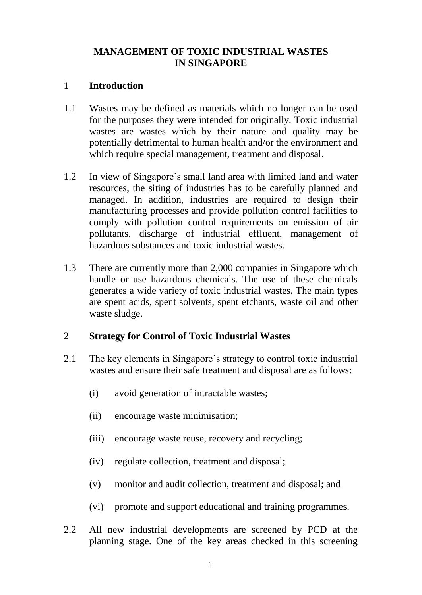## **MANAGEMENT OF TOXIC INDUSTRIAL WASTES IN SINGAPORE**

#### 1 **Introduction**

- 1.1 Wastes may be defined as materials which no longer can be used for the purposes they were intended for originally. Toxic industrial wastes are wastes which by their nature and quality may be potentially detrimental to human health and/or the environment and which require special management, treatment and disposal.
- 1.2 In view of Singapore's small land area with limited land and water resources, the siting of industries has to be carefully planned and managed. In addition, industries are required to design their manufacturing processes and provide pollution control facilities to comply with pollution control requirements on emission of air pollutants, discharge of industrial effluent, management of hazardous substances and toxic industrial wastes.
- 1.3 There are currently more than 2,000 companies in Singapore which handle or use hazardous chemicals. The use of these chemicals generates a wide variety of toxic industrial wastes. The main types are spent acids, spent solvents, spent etchants, waste oil and other waste sludge.

#### 2 **Strategy for Control of Toxic Industrial Wastes**

- 2.1 The key elements in Singapore's strategy to control toxic industrial wastes and ensure their safe treatment and disposal are as follows:
	- (i) avoid generation of intractable wastes;
	- (ii) encourage waste minimisation;
	- (iii) encourage waste reuse, recovery and recycling;
	- (iv) regulate collection, treatment and disposal;
	- (v) monitor and audit collection, treatment and disposal; and
	- (vi) promote and support educational and training programmes.
- 2.2 All new industrial developments are screened by PCD at the planning stage. One of the key areas checked in this screening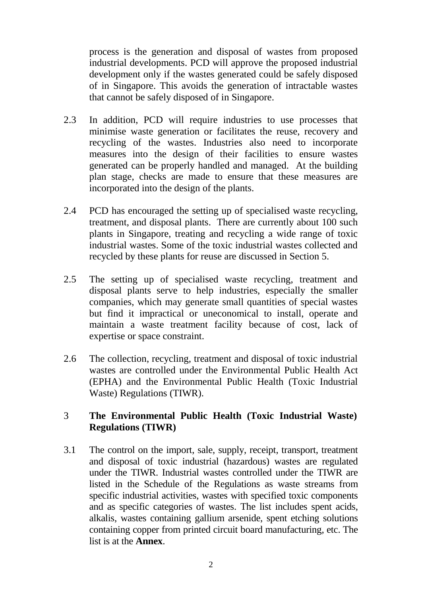process is the generation and disposal of wastes from proposed industrial developments. PCD will approve the proposed industrial development only if the wastes generated could be safely disposed of in Singapore. This avoids the generation of intractable wastes that cannot be safely disposed of in Singapore.

- 2.3 In addition, PCD will require industries to use processes that minimise waste generation or facilitates the reuse, recovery and recycling of the wastes. Industries also need to incorporate measures into the design of their facilities to ensure wastes generated can be properly handled and managed. At the building plan stage, checks are made to ensure that these measures are incorporated into the design of the plants.
- 2.4 PCD has encouraged the setting up of specialised waste recycling, treatment, and disposal plants. There are currently about 100 such plants in Singapore, treating and recycling a wide range of toxic industrial wastes. Some of the toxic industrial wastes collected and recycled by these plants for reuse are discussed in Section 5.
- 2.5 The setting up of specialised waste recycling, treatment and disposal plants serve to help industries, especially the smaller companies, which may generate small quantities of special wastes but find it impractical or uneconomical to install, operate and maintain a waste treatment facility because of cost, lack of expertise or space constraint.
- 2.6 The collection, recycling, treatment and disposal of toxic industrial wastes are controlled under the Environmental Public Health Act (EPHA) and the Environmental Public Health (Toxic Industrial Waste) Regulations (TIWR).

## 3 **The Environmental Public Health (Toxic Industrial Waste) Regulations (TIWR)**

3.1 The control on the import, sale, supply, receipt, transport, treatment and disposal of toxic industrial (hazardous) wastes are regulated under the TIWR. Industrial wastes controlled under the TIWR are listed in the Schedule of the Regulations as waste streams from specific industrial activities, wastes with specified toxic components and as specific categories of wastes. The list includes spent acids, alkalis, wastes containing gallium arsenide, spent etching solutions containing copper from printed circuit board manufacturing, etc. The list is at the **Annex**.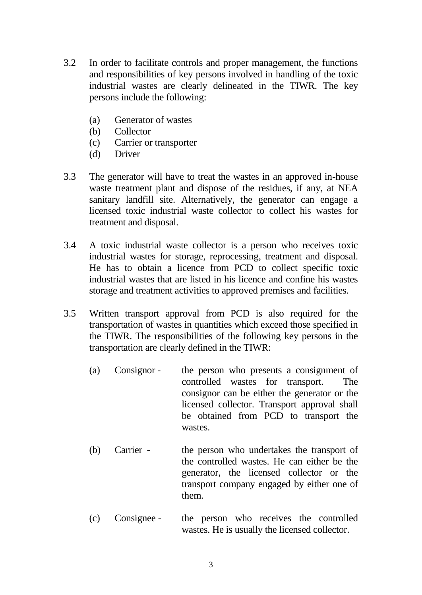- 3.2 In order to facilitate controls and proper management, the functions and responsibilities of key persons involved in handling of the toxic industrial wastes are clearly delineated in the TIWR. The key persons include the following:
	- (a) Generator of wastes
	- (b) Collector
	- (c) Carrier or transporter
	- (d) Driver
- 3.3 The generator will have to treat the wastes in an approved in-house waste treatment plant and dispose of the residues, if any, at NEA sanitary landfill site. Alternatively, the generator can engage a licensed toxic industrial waste collector to collect his wastes for treatment and disposal.
- 3.4 A toxic industrial waste collector is a person who receives toxic industrial wastes for storage, reprocessing, treatment and disposal. He has to obtain a licence from PCD to collect specific toxic industrial wastes that are listed in his licence and confine his wastes storage and treatment activities to approved premises and facilities.
- 3.5 Written transport approval from PCD is also required for the transportation of wastes in quantities which exceed those specified in the TIWR. The responsibilities of the following key persons in the transportation are clearly defined in the TIWR:
	- (a) Consignor the person who presents a consignment of controlled wastes for transport. The consignor can be either the generator or the licensed collector. Transport approval shall be obtained from PCD to transport the wastes.
	- (b) Carrier the person who undertakes the transport of the controlled wastes. He can either be the generator, the licensed collector or the transport company engaged by either one of them.
	- (c) Consignee the person who receives the controlled wastes. He is usually the licensed collector.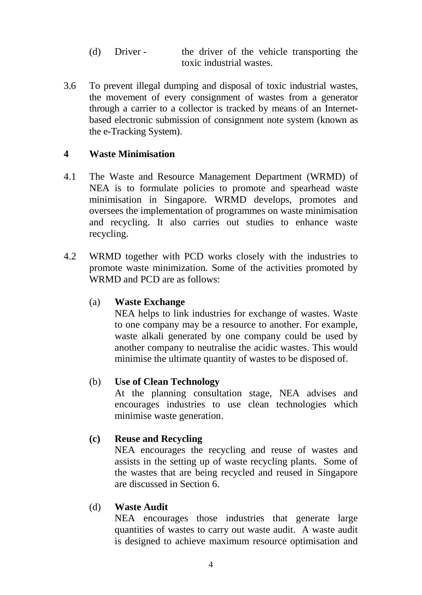- (d) Driver the driver of the vehicle transporting the toxic industrial wastes.
- 3.6 To prevent illegal dumping and disposal of toxic industrial wastes, the movement of every consignment of wastes from a generator through a carrier to a collector is tracked by means of an Internetbased electronic submission of consignment note system (known as the e-Tracking System).

#### **4 Waste Minimisation**

- 4.1 The Waste and Resource Management Department (WRMD) of NEA is to formulate policies to promote and spearhead waste minimisation in Singapore. WRMD develops, promotes and oversees the implementation of programmes on waste minimisation and recycling. It also carries out studies to enhance waste recycling.
- 4.2 WRMD together with PCD works closely with the industries to promote waste minimization. Some of the activities promoted by WRMD and PCD are as follows:

#### (a) **Waste Exchange**

NEA helps to link industries for exchange of wastes. Waste to one company may be a resource to another. For example, waste alkali generated by one company could be used by another company to neutralise the acidic wastes. This would minimise the ultimate quantity of wastes to be disposed of.

#### (b) **Use of Clean Technology**

At the planning consultation stage, NEA advises and encourages industries to use clean technologies which minimise waste generation.

#### **(c) Reuse and Recycling**

NEA encourages the recycling and reuse of wastes and assists in the setting up of waste recycling plants. Some of the wastes that are being recycled and reused in Singapore are discussed in Section 6.

#### (d) **Waste Audit**

NEA encourages those industries that generate large quantities of wastes to carry out waste audit. A waste audit is designed to achieve maximum resource optimisation and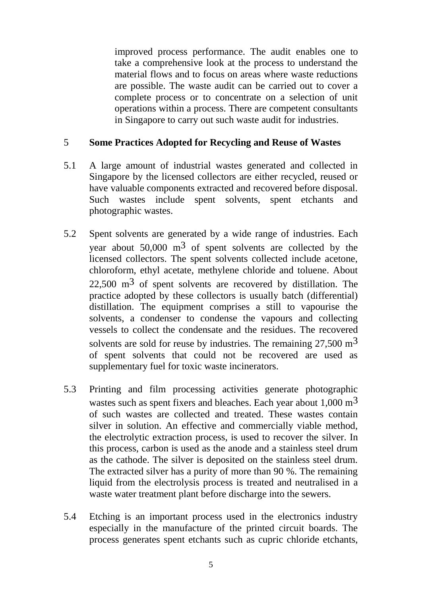improved process performance. The audit enables one to take a comprehensive look at the process to understand the material flows and to focus on areas where waste reductions are possible. The waste audit can be carried out to cover a complete process or to concentrate on a selection of unit operations within a process. There are competent consultants in Singapore to carry out such waste audit for industries.

#### 5 **Some Practices Adopted for Recycling and Reuse of Wastes**

- 5.1 A large amount of industrial wastes generated and collected in Singapore by the licensed collectors are either recycled, reused or have valuable components extracted and recovered before disposal. Such wastes include spent solvents, spent etchants and photographic wastes.
- 5.2 Spent solvents are generated by a wide range of industries. Each year about  $50,000 \text{ m}^3$  of spent solvents are collected by the licensed collectors. The spent solvents collected include acetone, chloroform, ethyl acetate, methylene chloride and toluene. About  $22,500$  m<sup>3</sup> of spent solvents are recovered by distillation. The practice adopted by these collectors is usually batch (differential) distillation. The equipment comprises a still to vapourise the solvents, a condenser to condense the vapours and collecting vessels to collect the condensate and the residues. The recovered solvents are sold for reuse by industries. The remaining  $27,500 \text{ m}^3$ of spent solvents that could not be recovered are used as supplementary fuel for toxic waste incinerators.
- 5.3 Printing and film processing activities generate photographic wastes such as spent fixers and bleaches. Each year about 1,000 m3 of such wastes are collected and treated. These wastes contain silver in solution. An effective and commercially viable method, the electrolytic extraction process, is used to recover the silver. In this process, carbon is used as the anode and a stainless steel drum as the cathode. The silver is deposited on the stainless steel drum. The extracted silver has a purity of more than 90 %. The remaining liquid from the electrolysis process is treated and neutralised in a waste water treatment plant before discharge into the sewers.
- 5.4 Etching is an important process used in the electronics industry especially in the manufacture of the printed circuit boards. The process generates spent etchants such as cupric chloride etchants,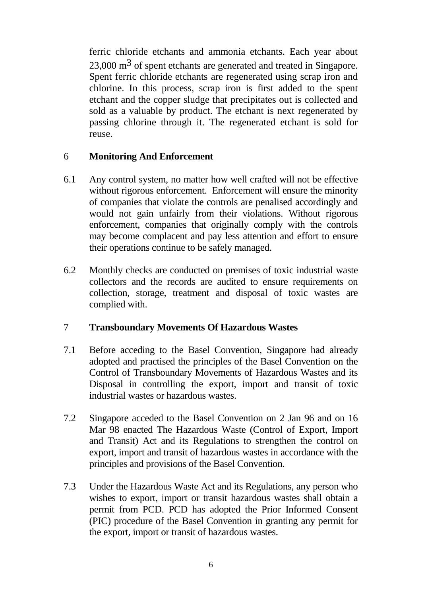ferric chloride etchants and ammonia etchants. Each year about  $23,000 \text{ m}^3$  of spent etchants are generated and treated in Singapore. Spent ferric chloride etchants are regenerated using scrap iron and chlorine. In this process, scrap iron is first added to the spent etchant and the copper sludge that precipitates out is collected and sold as a valuable by product. The etchant is next regenerated by passing chlorine through it. The regenerated etchant is sold for reuse.

#### 6 **Monitoring And Enforcement**

- 6.1 Any control system, no matter how well crafted will not be effective without rigorous enforcement. Enforcement will ensure the minority of companies that violate the controls are penalised accordingly and would not gain unfairly from their violations. Without rigorous enforcement, companies that originally comply with the controls may become complacent and pay less attention and effort to ensure their operations continue to be safely managed.
- 6.2 Monthly checks are conducted on premises of toxic industrial waste collectors and the records are audited to ensure requirements on collection, storage, treatment and disposal of toxic wastes are complied with.

#### 7 **Transboundary Movements Of Hazardous Wastes**

- 7.1 Before acceding to the Basel Convention, Singapore had already adopted and practised the principles of the Basel Convention on the Control of Transboundary Movements of Hazardous Wastes and its Disposal in controlling the export, import and transit of toxic industrial wastes or hazardous wastes.
- 7.2 Singapore acceded to the Basel Convention on 2 Jan 96 and on 16 Mar 98 enacted The Hazardous Waste (Control of Export, Import and Transit) Act and its Regulations to strengthen the control on export, import and transit of hazardous wastes in accordance with the principles and provisions of the Basel Convention.
- 7.3 Under the Hazardous Waste Act and its Regulations, any person who wishes to export, import or transit hazardous wastes shall obtain a permit from PCD. PCD has adopted the Prior Informed Consent (PIC) procedure of the Basel Convention in granting any permit for the export, import or transit of hazardous wastes.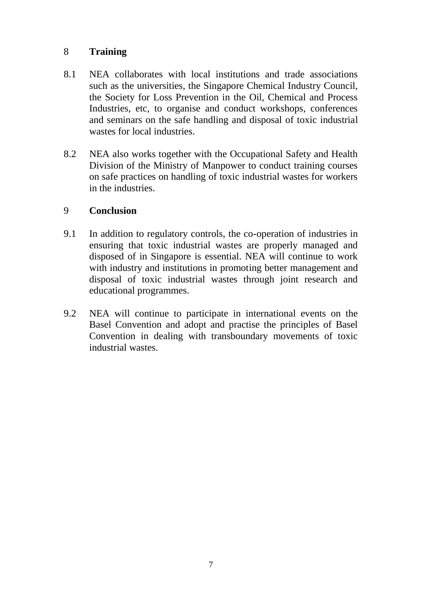## 8 **Training**

- 8.1 NEA collaborates with local institutions and trade associations such as the universities, the Singapore Chemical Industry Council, the Society for Loss Prevention in the Oil, Chemical and Process Industries, etc, to organise and conduct workshops, conferences and seminars on the safe handling and disposal of toxic industrial wastes for local industries.
- 8.2 NEA also works together with the Occupational Safety and Health Division of the Ministry of Manpower to conduct training courses on safe practices on handling of toxic industrial wastes for workers in the industries.

## 9 **Conclusion**

- 9.1 In addition to regulatory controls, the co-operation of industries in ensuring that toxic industrial wastes are properly managed and disposed of in Singapore is essential. NEA will continue to work with industry and institutions in promoting better management and disposal of toxic industrial wastes through joint research and educational programmes.
- 9.2 NEA will continue to participate in international events on the Basel Convention and adopt and practise the principles of Basel Convention in dealing with transboundary movements of toxic industrial wastes.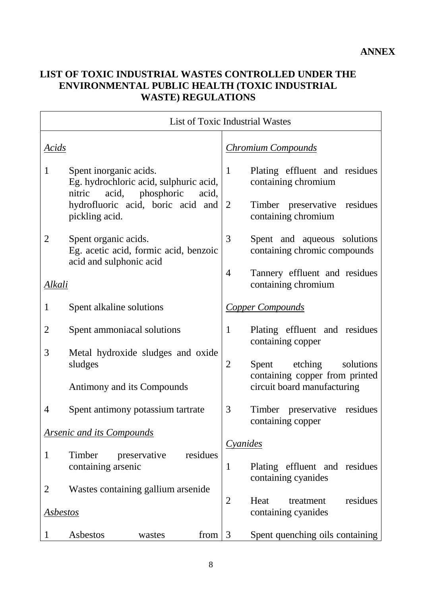## **LIST OF TOXIC INDUSTRIAL WASTES CONTROLLED UNDER THE ENVIRONMENTAL PUBLIC HEALTH (TOXIC INDUSTRIAL WASTE) REGULATIONS**

|               | List of Toxic Industrial Wastes                                                                                                                                |                |                                                              |
|---------------|----------------------------------------------------------------------------------------------------------------------------------------------------------------|----------------|--------------------------------------------------------------|
| <u>Acids</u>  |                                                                                                                                                                |                | <u>Chromium Compounds</u>                                    |
| 1             | Spent inorganic acids.<br>Eg. hydrochloric acid, sulphuric acid,<br>acid, phosphoric<br>nitric<br>acid,<br>hydrofluoric acid, boric acid and<br>pickling acid. | $\mathbf{1}$   | Plating effluent and residues<br>containing chromium         |
|               |                                                                                                                                                                | 2              | residues<br>Timber preservative<br>containing chromium       |
| 2             | Spent organic acids.<br>Eg. acetic acid, formic acid, benzoic<br>acid and sulphonic acid                                                                       | 3              | Spent and aqueous solutions<br>containing chromic compounds  |
| <u>Alkali</u> |                                                                                                                                                                | 4              | Tannery effluent and residues<br>containing chromium         |
| $\mathbf 1$   | Spent alkaline solutions                                                                                                                                       |                | <b>Copper Compounds</b>                                      |
| 2             | Spent ammoniacal solutions                                                                                                                                     | $\mathbf{1}$   | Plating effluent and residues<br>containing copper           |
| 3             | Metal hydroxide sludges and oxide<br>sludges                                                                                                                   | $\overline{2}$ | Spent etching<br>solutions<br>containing copper from printed |
|               | Antimony and its Compounds                                                                                                                                     |                | circuit board manufacturing                                  |
| 4             | Spent antimony potassium tartrate                                                                                                                              | 3              | Timber preservative<br>residues<br>containing copper         |
|               | <b>Arsenic and its Compounds</b>                                                                                                                               |                |                                                              |
| $\mathbf 1$   | residues<br>Timber<br>preservative                                                                                                                             | Cyanides       |                                                              |
|               | containing arsenic                                                                                                                                             | 1              | Plating effluent and residues<br>containing cyanides         |
| 2             | Wastes containing gallium arsenide                                                                                                                             |                |                                                              |
| Asbestos      |                                                                                                                                                                | $\overline{2}$ | residues<br>Heat<br>treatment<br>containing cyanides         |
| 1             | Asbestos<br>from<br>wastes                                                                                                                                     | 3              | Spent quenching oils containing                              |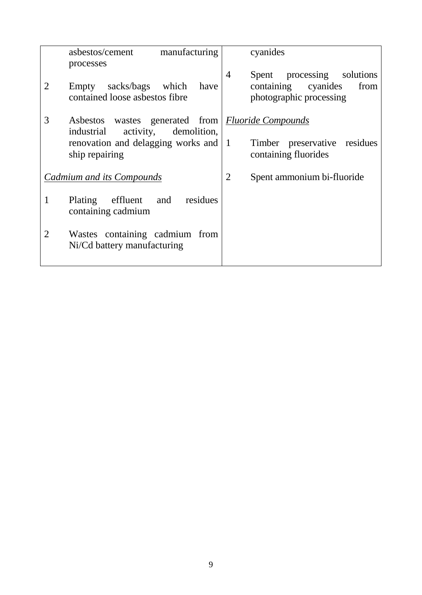|                | asbestos/cement<br>manufacturing<br>processes                                                   |                | cyanides                                                                             |
|----------------|-------------------------------------------------------------------------------------------------|----------------|--------------------------------------------------------------------------------------|
| 2              | sacks/bags<br>which<br>Empty<br>have<br>contained loose asbestos fibre                          | $\overline{4}$ | Spent processing solutions<br>containing cyanides<br>from<br>photographic processing |
| 3              | Asbestos wastes generated from <i>Fluoride Compounds</i><br>industrial<br>activity, demolition, |                |                                                                                      |
|                | renovation and delagging works and 1<br>ship repairing                                          |                | Timber preservative residues<br>containing fluorides                                 |
|                | <b>Cadmium and its Compounds</b>                                                                | $\overline{2}$ | Spent ammonium bi-fluoride                                                           |
| 1              | Plating effluent and residues<br>containing cadmium                                             |                |                                                                                      |
| $\overline{2}$ | Wastes containing cadmium from<br>Ni/Cd battery manufacturing                                   |                |                                                                                      |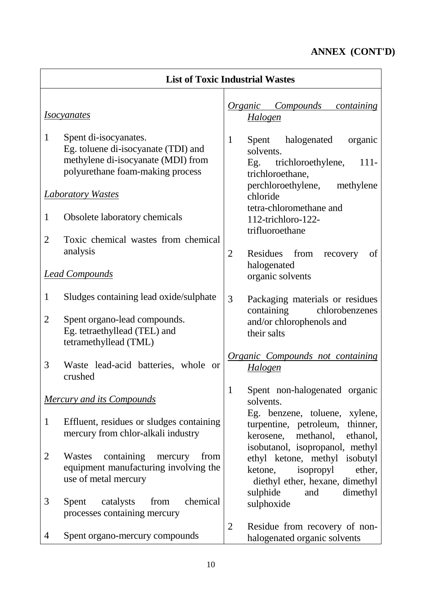## **ANNEX (CONT'D)**

| <b>List of Toxic Industrial Wastes</b>                                                                                                                                                                                                                                 |          |                                                                                                                                                                                                                                    |  |
|------------------------------------------------------------------------------------------------------------------------------------------------------------------------------------------------------------------------------------------------------------------------|----------|------------------------------------------------------------------------------------------------------------------------------------------------------------------------------------------------------------------------------------|--|
| <i>Isocyanates</i>                                                                                                                                                                                                                                                     |          | <i><u><b>Organic Compounds</b></u></i><br>containing<br>Halogen                                                                                                                                                                    |  |
| 1<br>Spent di-isocyanates.<br>Eg. toluene di-isocyanate (TDI) and<br>methylene di-isocyanate (MDI) from<br>polyurethane foam-making process<br><b>Laboratory Wastes</b><br>1<br>Obsolete laboratory chemicals<br>$\overline{2}$<br>Toxic chemical wastes from chemical |          | $\mathbf{1}$<br>Spent halogenated<br>organic<br>solvents.<br>Eg. trichloroethylene,<br>$111 -$<br>trichloroethane,<br>perchloroethylene, methylene<br>chloride<br>tetra-chloromethane and<br>112-trichloro-122-<br>trifluoroethane |  |
| analysis<br><b>Lead Compounds</b>                                                                                                                                                                                                                                      |          | $\overline{2}$<br>Residues from<br>of<br>recovery<br>halogenated<br>organic solvents                                                                                                                                               |  |
| 1<br>Sludges containing lead oxide/sulphate<br>$\overline{2}$<br>Spent organo-lead compounds.<br>Eg. tetraethyllead (TEL) and<br>tetramethyllead (TML)                                                                                                                 |          | 3<br>Packaging materials or residues<br>containing<br>chlorobenzenes<br>and/or chlorophenols and<br>their salts                                                                                                                    |  |
| 3<br>Waste lead-acid batteries, whole or<br>crushed                                                                                                                                                                                                                    |          | Organic Compounds not containing<br>Halogen                                                                                                                                                                                        |  |
| <b>Mercury and its Compounds</b>                                                                                                                                                                                                                                       |          | $\mathbf{1}$<br>Spent non-halogenated organic<br>solvents.                                                                                                                                                                         |  |
| Effluent, residues or sludges containing<br>1<br>mercury from chlor-alkali industry                                                                                                                                                                                    |          | Eg. benzene, toluene, xylene,<br>turpentine, petroleum,<br>thinner,<br>methanol,<br>kerosene,<br>ethanol,                                                                                                                          |  |
| containing mercury<br>$\overline{2}$<br>Wastes<br>equipment manufacturing involving the<br>use of metal mercury                                                                                                                                                        | from     | isobutanol, isopropanol, methyl<br>ethyl ketone, methyl isobutyl<br>ether,<br>ketone,<br>isopropyl<br>diethyl ether, hexane, dimethyl                                                                                              |  |
| 3<br>Spent<br>catalysts<br>from<br>processes containing mercury                                                                                                                                                                                                        | chemical | sulphide<br>dimethyl<br>and<br>sulphoxide                                                                                                                                                                                          |  |
| Spent organo-mercury compounds<br>4                                                                                                                                                                                                                                    |          | $\overline{2}$<br>Residue from recovery of non-<br>halogenated organic solvents                                                                                                                                                    |  |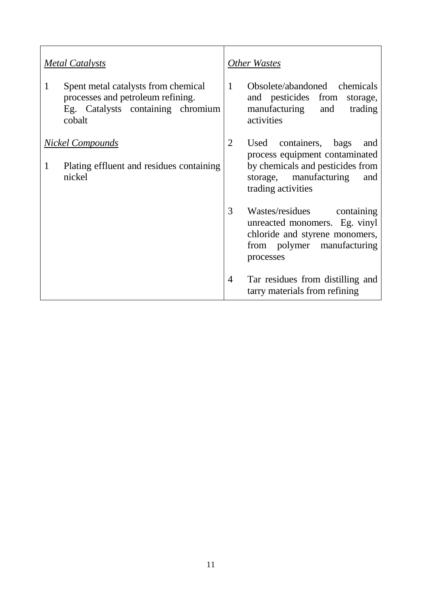| <b>Metal Catalysts</b> |                                                                                                                         | Other Wastes   |                                                                                                                                                              |
|------------------------|-------------------------------------------------------------------------------------------------------------------------|----------------|--------------------------------------------------------------------------------------------------------------------------------------------------------------|
| 1                      | Spent metal catalysts from chemical<br>processes and petroleum refining.<br>Eg. Catalysts containing chromium<br>cobalt | $\mathbf{1}$   | Obsolete/abandoned chemicals<br>and pesticides from<br>storage,<br>manufacturing and<br>trading<br>activities                                                |
| 1                      | <u>Nickel Compounds</u><br>Plating effluent and residues containing<br>nickel                                           | 2              | Used containers,<br>bags<br>and<br>process equipment contaminated<br>by chemicals and pesticides from<br>storage, manufacturing<br>and<br>trading activities |
|                        |                                                                                                                         | 3              | Wastes/residues containing<br>unreacted monomers. Eg. vinyl<br>chloride and styrene monomers,<br>from polymer manufacturing<br>processes                     |
|                        |                                                                                                                         | $\overline{4}$ | Tar residues from distilling and<br>tarry materials from refining                                                                                            |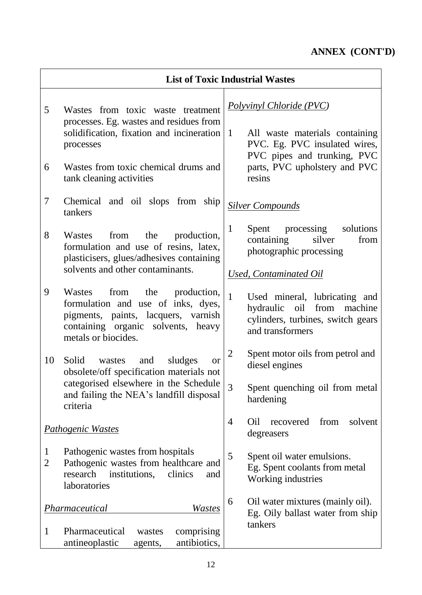# **ANNEX (CONT'D)**

| <b>List of Toxic Industrial Wastes</b>                                                                                                                                                                               |                                                                                                                                                                                              |  |  |
|----------------------------------------------------------------------------------------------------------------------------------------------------------------------------------------------------------------------|----------------------------------------------------------------------------------------------------------------------------------------------------------------------------------------------|--|--|
| 5<br>Wastes from toxic waste treatment<br>processes. Eg. wastes and residues from<br>solidification, fixation and incineration<br>processes<br>6<br>Wastes from toxic chemical drums and<br>tank cleaning activities | <i>Polyvinyl Chloride (PVC)</i><br>$\mathbf{1}$<br>All waste materials containing<br>PVC. Eg. PVC insulated wires,<br>PVC pipes and trunking, PVC<br>parts, PVC upholstery and PVC<br>resins |  |  |
| 7<br>Chemical and oil slops from ship<br>tankers                                                                                                                                                                     | <b>Silver Compounds</b>                                                                                                                                                                      |  |  |
| 8<br>from<br>the<br>production,<br>Wastes<br>formulation and use of resins, latex,<br>plasticisers, glues/adhesives containing                                                                                       | $\mathbf{1}$<br>Spent processing<br>solutions<br>containing<br>from<br>silver<br>photographic processing                                                                                     |  |  |
| solvents and other contaminants.                                                                                                                                                                                     | <b>Used, Contaminated Oil</b>                                                                                                                                                                |  |  |
| 9<br>from<br>Wastes<br>the<br>production,<br>formulation and use of inks, dyes,<br>pigments, paints, lacquers, varnish<br>containing organic solvents, heavy<br>metals or biocides.                                  | $\mathbf{1}$<br>Used mineral, lubricating and<br>hydraulic oil from machine<br>cylinders, turbines, switch gears<br>and transformers                                                         |  |  |
| 10<br>Solid wastes<br>sludges<br>and<br><b>or</b><br>obsolete/off specification materials not                                                                                                                        | $\overline{2}$<br>Spent motor oils from petrol and<br>diesel engines                                                                                                                         |  |  |
| categorised elsewhere in the Schedule<br>and failing the NEA's landfill disposal<br>criteria                                                                                                                         | Spent quenching oil from metal<br>3<br>hardening                                                                                                                                             |  |  |
| <b>Pathogenic Wastes</b>                                                                                                                                                                                             | $\overline{4}$<br>from<br>solvent<br>Oil<br>recovered<br>degreasers                                                                                                                          |  |  |
| Pathogenic wastes from hospitals<br>1<br>$\overline{2}$<br>Pathogenic wastes from healthcare and<br>clinics<br>research<br>institutions,<br>and<br>laboratories                                                      | 5<br>Spent oil water emulsions.<br>Eg. Spent coolants from metal<br>Working industries                                                                                                       |  |  |
| Pharmaceutical<br>Wastes<br>Pharmaceutical<br>comprising<br>1<br>wastes                                                                                                                                              | Oil water mixtures (mainly oil).<br>6<br>Eg. Oily ballast water from ship<br>tankers                                                                                                         |  |  |
| antibiotics,<br>antineoplastic<br>agents,                                                                                                                                                                            |                                                                                                                                                                                              |  |  |